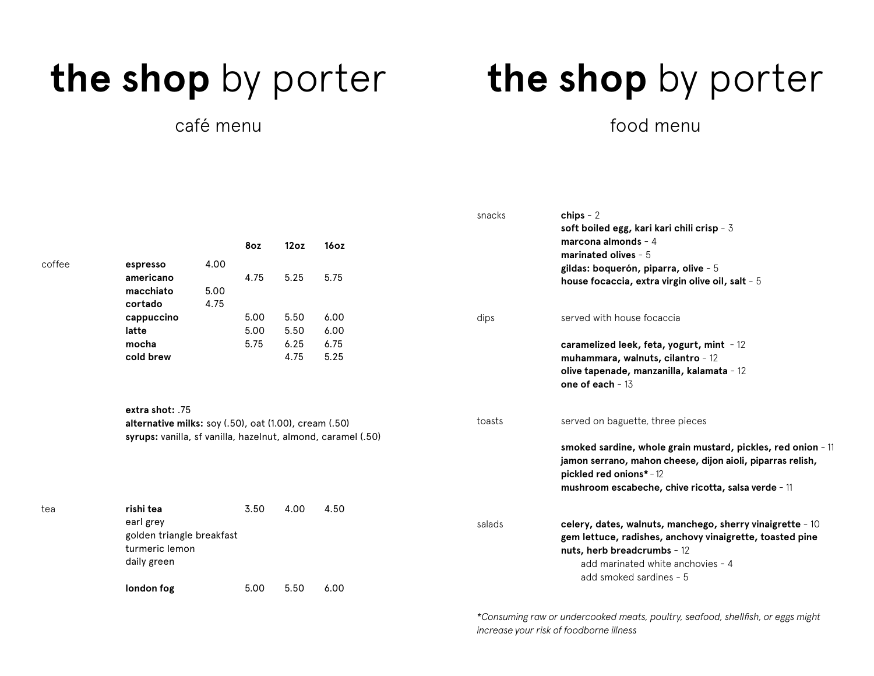### café menu

### **the shop** by porter **the shop** by porter

### food menu

| soft boiled egg, kari kari chili crisp - 3<br>marcona almonds $-4$<br>8oz<br>12oz<br>16 <sub>oz</sub><br>marinated olives $-5$<br>coffee<br>4.00<br>espresso<br>gildas: boquerón, piparra, olive - 5<br>5.25<br>4.75<br>5.75<br>americano<br>house focaccia, extra virgin olive oil, salt - 5<br>5.00<br>macchiato<br>4.75<br>cortado<br>5.00<br>5.50<br>6.00<br>cappuccino<br>served with house focaccia<br>dips<br>latte<br>5.00<br>5.50<br>6.00<br>5.75<br>6.25<br>6.75<br>mocha<br>caramelized leek, feta, yogurt, mint - 12<br>4.75<br>cold brew<br>5.25<br>muhammara, walnuts, cilantro - 12<br>olive tapenade, manzanilla, kalamata - 12<br>one of each $-13$<br>extra shot: .75<br>served on baguette, three pieces<br>toasts<br>alternative milks: soy (.50), oat (1.00), cream (.50)<br>syrups: vanilla, sf vanilla, hazelnut, almond, caramel (.50) |  |
|----------------------------------------------------------------------------------------------------------------------------------------------------------------------------------------------------------------------------------------------------------------------------------------------------------------------------------------------------------------------------------------------------------------------------------------------------------------------------------------------------------------------------------------------------------------------------------------------------------------------------------------------------------------------------------------------------------------------------------------------------------------------------------------------------------------------------------------------------------------|--|
|                                                                                                                                                                                                                                                                                                                                                                                                                                                                                                                                                                                                                                                                                                                                                                                                                                                                |  |
|                                                                                                                                                                                                                                                                                                                                                                                                                                                                                                                                                                                                                                                                                                                                                                                                                                                                |  |
|                                                                                                                                                                                                                                                                                                                                                                                                                                                                                                                                                                                                                                                                                                                                                                                                                                                                |  |
|                                                                                                                                                                                                                                                                                                                                                                                                                                                                                                                                                                                                                                                                                                                                                                                                                                                                |  |
|                                                                                                                                                                                                                                                                                                                                                                                                                                                                                                                                                                                                                                                                                                                                                                                                                                                                |  |
|                                                                                                                                                                                                                                                                                                                                                                                                                                                                                                                                                                                                                                                                                                                                                                                                                                                                |  |
|                                                                                                                                                                                                                                                                                                                                                                                                                                                                                                                                                                                                                                                                                                                                                                                                                                                                |  |
|                                                                                                                                                                                                                                                                                                                                                                                                                                                                                                                                                                                                                                                                                                                                                                                                                                                                |  |
|                                                                                                                                                                                                                                                                                                                                                                                                                                                                                                                                                                                                                                                                                                                                                                                                                                                                |  |
|                                                                                                                                                                                                                                                                                                                                                                                                                                                                                                                                                                                                                                                                                                                                                                                                                                                                |  |
|                                                                                                                                                                                                                                                                                                                                                                                                                                                                                                                                                                                                                                                                                                                                                                                                                                                                |  |
|                                                                                                                                                                                                                                                                                                                                                                                                                                                                                                                                                                                                                                                                                                                                                                                                                                                                |  |
|                                                                                                                                                                                                                                                                                                                                                                                                                                                                                                                                                                                                                                                                                                                                                                                                                                                                |  |
|                                                                                                                                                                                                                                                                                                                                                                                                                                                                                                                                                                                                                                                                                                                                                                                                                                                                |  |
|                                                                                                                                                                                                                                                                                                                                                                                                                                                                                                                                                                                                                                                                                                                                                                                                                                                                |  |
| smoked sardine, whole grain mustard, pickles, red onion - 11                                                                                                                                                                                                                                                                                                                                                                                                                                                                                                                                                                                                                                                                                                                                                                                                   |  |
| jamon serrano, mahon cheese, dijon aioli, piparras relish,                                                                                                                                                                                                                                                                                                                                                                                                                                                                                                                                                                                                                                                                                                                                                                                                     |  |
| pickled red onions* - 12                                                                                                                                                                                                                                                                                                                                                                                                                                                                                                                                                                                                                                                                                                                                                                                                                                       |  |
| mushroom escabeche, chive ricotta, salsa verde - 11                                                                                                                                                                                                                                                                                                                                                                                                                                                                                                                                                                                                                                                                                                                                                                                                            |  |
| rishi tea<br>3.50<br>4.00<br>4.50<br>tea                                                                                                                                                                                                                                                                                                                                                                                                                                                                                                                                                                                                                                                                                                                                                                                                                       |  |
| earl grey<br>celery, dates, walnuts, manchego, sherry vinaigrette - 10<br>salads                                                                                                                                                                                                                                                                                                                                                                                                                                                                                                                                                                                                                                                                                                                                                                               |  |
| golden triangle breakfast<br>gem lettuce, radishes, anchovy vinaigrette, toasted pine                                                                                                                                                                                                                                                                                                                                                                                                                                                                                                                                                                                                                                                                                                                                                                          |  |
| turmeric lemon<br>nuts, herb breadcrumbs - 12                                                                                                                                                                                                                                                                                                                                                                                                                                                                                                                                                                                                                                                                                                                                                                                                                  |  |
| daily green<br>add marinated white anchovies - 4                                                                                                                                                                                                                                                                                                                                                                                                                                                                                                                                                                                                                                                                                                                                                                                                               |  |
|                                                                                                                                                                                                                                                                                                                                                                                                                                                                                                                                                                                                                                                                                                                                                                                                                                                                |  |
| add smoked sardines - 5<br>5.50<br>5.00<br>6.00<br>london fog                                                                                                                                                                                                                                                                                                                                                                                                                                                                                                                                                                                                                                                                                                                                                                                                  |  |

*\*Consuming raw or undercooked meats, poultry, seafood, shellfish, or eggs might increase your risk of foodborne illness*